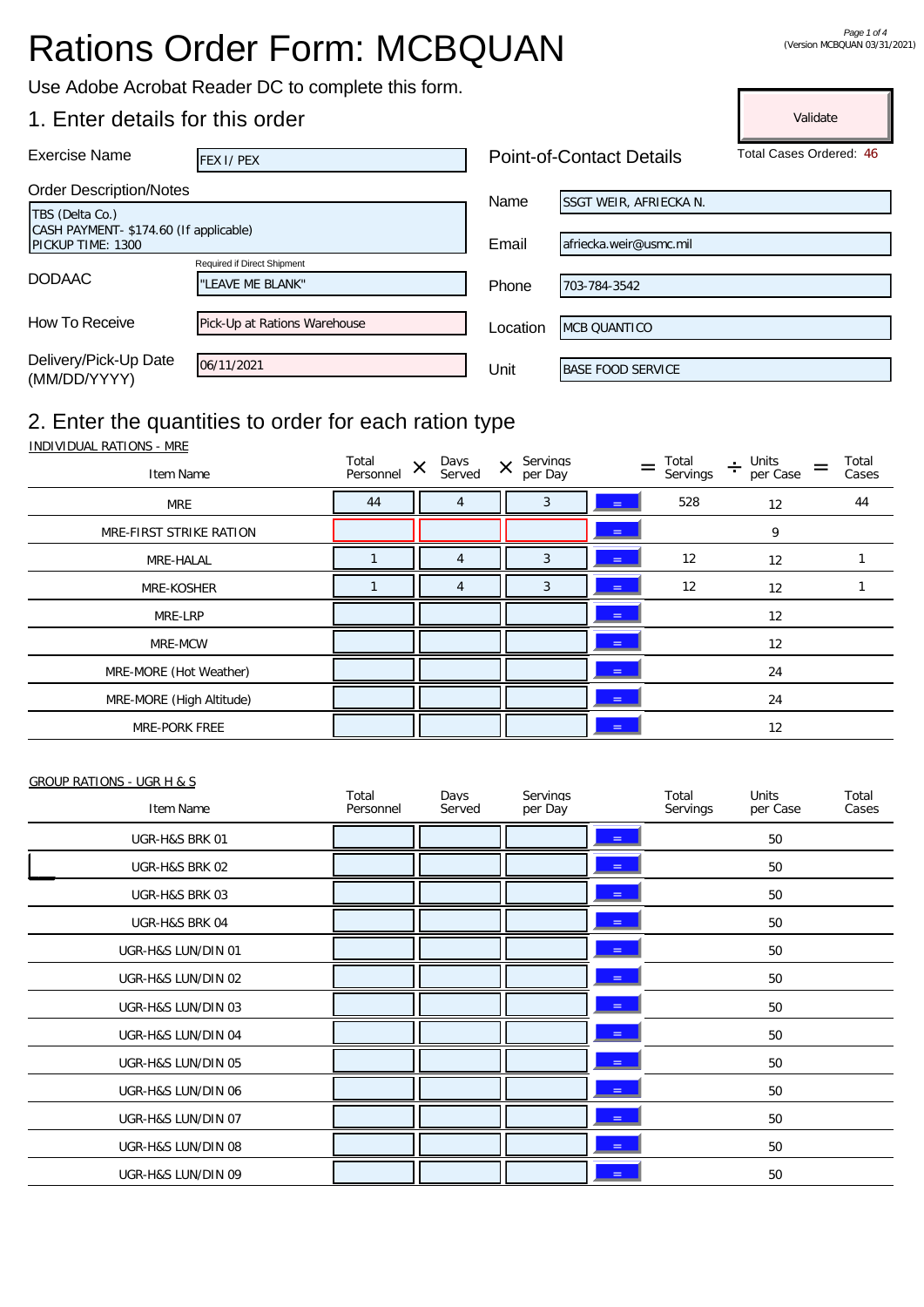# Rations Order Form: MCBQUAN

Validate

Use Adobe Acrobat Reader DC to complete this form.

### 1. Enter details for this order

| <b>Exercise Name</b>                                       | FEX I/PEX                    | <b>Point-of-Contact Details</b> |                               | Total Cases Ordered: 46 |
|------------------------------------------------------------|------------------------------|---------------------------------|-------------------------------|-------------------------|
| <b>Order Description/Notes</b>                             |                              |                                 |                               |                         |
| TBS (Delta Co.)                                            |                              | Name                            | <b>SSGT WEIR, AFRIECKA N.</b> |                         |
| CASH PAYMENT-\$174.60 (If applicable)<br>PICKUP TIME: 1300 |                              | Email                           | afriecka.weir@usmc.mil        |                         |
|                                                            | Required if Direct Shipment  |                                 |                               |                         |
| <b>DODAAC</b>                                              | "LEAVE ME BLANK"             | Phone                           | 703-784-3542                  |                         |
|                                                            |                              |                                 |                               |                         |
| How To Receive                                             | Pick-Up at Rations Warehouse | Location                        | <b>MCB QUANTICO</b>           |                         |
|                                                            |                              |                                 |                               |                         |
| Delivery/Pick-Up Date<br>(MM/DD/YYYY)                      | 06/11/2021                   | Unit                            | BASE FOOD SERVICE             |                         |
|                                                            |                              |                                 |                               |                         |

## 2. Enter the quantities to order for each ration type

INDIVIDUAL RATIONS - MRE

| Item Name                | Total<br>Personnel | Days<br>$\times$<br>Served | Servings<br>$\times$<br>per Day | $=$        | Total<br>Servings | Units<br>$\div$<br>per Case | Total<br>Cases |
|--------------------------|--------------------|----------------------------|---------------------------------|------------|-------------------|-----------------------------|----------------|
| <b>MRE</b>               | 44                 |                            | 3                               | $=$        | 528               | 12                          | 44             |
| MRE-FIRST STRIKE RATION  |                    |                            |                                 | $=$        |                   | 9                           |                |
| MRE-HALAL                |                    |                            | 3                               | <b>SEC</b> | 12                | 12                          |                |
| MRE-KOSHER               |                    |                            | 3                               | $=$        | 12                | 12                          |                |
| MRE-LRP                  |                    |                            |                                 | $=$        |                   | 12                          |                |
| MRE-MCW                  |                    |                            |                                 | =          |                   | 12                          |                |
| MRE-MORE (Hot Weather)   |                    |                            |                                 | $\equiv$   |                   | 24                          |                |
| MRE-MORE (High Altitude) |                    |                            |                                 | ÷.         |                   | 24                          |                |
| MRE-PORK FREE            |                    |                            |                                 | $=$        |                   | 12                          |                |

#### GROUP RATIONS - UGR H & S

| Item Name          | Total<br>Personnel | Days<br>Served | Servings<br>per Day |            | Total<br>Servings | Units<br>per Case | Total<br>Cases |
|--------------------|--------------------|----------------|---------------------|------------|-------------------|-------------------|----------------|
| UGR-H&S BRK 01     |                    |                |                     | 트          |                   | 50                |                |
| UGR-H&S BRK 02     |                    |                |                     | $=$        |                   | 50                |                |
| UGR-H&S BRK 03     |                    |                |                     | $=$        |                   | 50                |                |
| UGR-H&S BRK 04     |                    |                |                     | $=$        |                   | 50                |                |
| UGR-H&S LUN/DIN 01 |                    |                |                     | $=$        |                   | 50                |                |
| UGR-H&S LUN/DIN 02 |                    |                |                     | ◆          |                   | 50                |                |
| UGR-H&S LUN/DIN 03 |                    |                |                     | $=$        |                   | 50                |                |
| UGR-H&S LUN/DIN 04 |                    |                |                     | $=$        |                   | 50                |                |
| UGR-H&S LUN/DIN 05 |                    |                |                     | $\equiv$   |                   | 50                |                |
| UGR-H&S LUN/DIN 06 |                    |                |                     | e          |                   | 50                |                |
| UGR-H&S LUN/DIN 07 |                    |                |                     | $\equiv$   |                   | 50                |                |
| UGR-H&S LUN/DIN 08 |                    |                |                     | $=$        |                   | 50                |                |
| UGR-H&S LUN/DIN 09 |                    |                |                     | <u> = </u> |                   | 50                |                |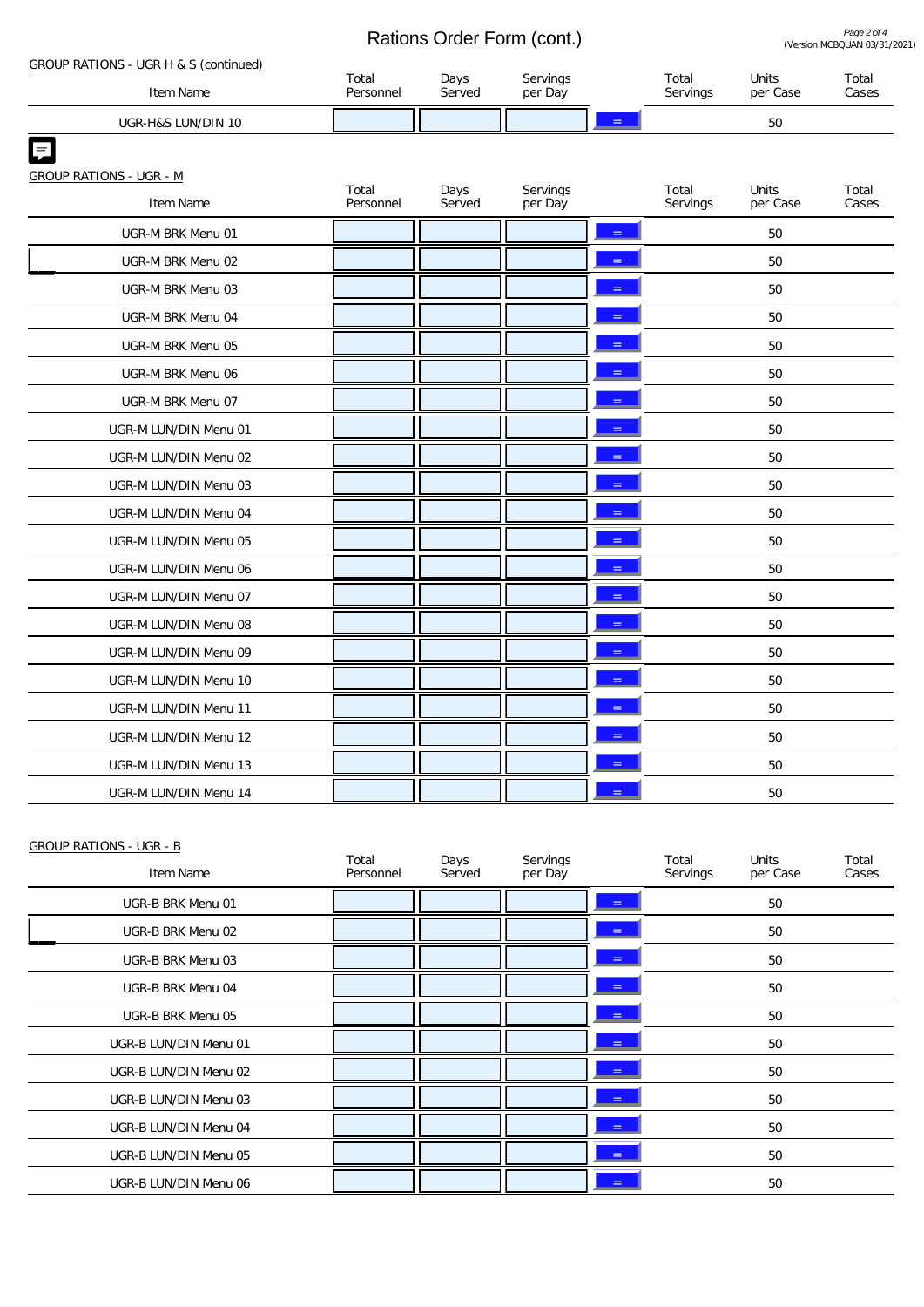Rations Order Form (cont.)

Page 2 of 4<br>**COMBQ** 03/31/2021)

|                                                    | Rations Orger Form (Cont.) |                |                     |  |                   | (Version MCBQUAN 03/31/ |                |  |
|----------------------------------------------------|----------------------------|----------------|---------------------|--|-------------------|-------------------------|----------------|--|
| GROUP RATIONS - UGR H & S (continued)<br>Item Name | Total<br>Personnel         | Days<br>Served | Servings<br>per Day |  | Total<br>Servings | Units<br>per Case       | Total<br>Cases |  |
|                                                    |                            |                |                     |  |                   |                         |                |  |
| UGR-H&S LUN/DIN 10                                 |                            |                |                     |  |                   | 50                      |                |  |
|                                                    |                            |                |                     |  |                   |                         |                |  |
| <b>GROUP RATIONS - UGR - M</b>                     | Total                      | Days           | Servings            |  | Total             | Units                   | Total          |  |
| Item Name                                          | Personnel                  | Served         | per Day             |  | Servings          | per Case                | Cases          |  |
| UGR-M BRK Menu 01                                  |                            |                |                     |  |                   | 50                      |                |  |
| UGR-M BRK Menu 02                                  |                            |                |                     |  |                   | 50                      |                |  |
| UGR-M BRK Menu 03                                  |                            |                |                     |  |                   | 50                      |                |  |
| UGR-M BRK Menu 04                                  |                            |                |                     |  |                   | 50                      |                |  |
| UGR-M BRK Menu 05                                  |                            |                |                     |  |                   | 50                      |                |  |
| UGR-M BRK Menu 06                                  |                            |                |                     |  |                   | 50                      |                |  |
| UGR-M BRK Menu 07                                  |                            |                |                     |  |                   | 50                      |                |  |
| UGR-M LUN/DIN Menu 01                              |                            |                |                     |  |                   | 50                      |                |  |
| UGR-M LUN/DIN Menu 02                              |                            |                |                     |  |                   | 50                      |                |  |
| UGR-M LUN/DIN Menu 03                              |                            |                |                     |  |                   | 50                      |                |  |
| UGR-M LUN/DIN Menu 04                              |                            |                |                     |  |                   | 50                      |                |  |
| UGR-M LUN/DIN Menu 05                              |                            |                |                     |  |                   | 50                      |                |  |
| UGR-M LUN/DIN Menu 06                              |                            |                |                     |  |                   | 50                      |                |  |
| UGR-M LUN/DIN Menu 07                              |                            |                |                     |  |                   | 50                      |                |  |
| UGR-M LUN/DIN Menu 08                              |                            |                |                     |  |                   | 50                      |                |  |
| UGR-M LUN/DIN Menu 09                              |                            |                |                     |  |                   | 50                      |                |  |
| UGR-M LUN/DIN Menu 10                              |                            |                |                     |  |                   | 50                      |                |  |
| UGR-M LUN/DIN Menu 11                              |                            |                |                     |  |                   | 50                      |                |  |
| UGR-M LUN/DIN Menu 12                              |                            |                |                     |  |                   | 50                      |                |  |
| UGR-M LUN/DIN Menu 13                              |                            |                |                     |  |                   | 50                      |                |  |
| UGR-M LUN/DIN Menu 14                              |                            |                |                     |  |                   | 50                      |                |  |

| <b>GROUP RATIONS - UGR - B</b> |                    |                |                     |     |                   |                          |                |
|--------------------------------|--------------------|----------------|---------------------|-----|-------------------|--------------------------|----------------|
| Item Name                      | Total<br>Personnel | Days<br>Served | Servings<br>per Day |     | Total<br>Servings | <b>Units</b><br>per Case | Total<br>Cases |
| UGR-B BRK Menu 01              |                    |                |                     | $=$ |                   | 50                       |                |
| UGR-B BRK Menu 02              |                    |                |                     | $=$ |                   | 50                       |                |
| UGR-B BRK Menu 03              |                    |                |                     | $=$ |                   | 50                       |                |
| UGR-B BRK Menu 04              |                    |                |                     | $=$ |                   | 50                       |                |
| UGR-B BRK Menu 05              |                    |                |                     | $=$ |                   | 50                       |                |
| UGR-B LUN/DIN Menu 01          |                    |                |                     | $=$ |                   | 50                       |                |
| UGR-B LUN/DIN Menu 02          |                    |                |                     | $=$ |                   | 50                       |                |
| UGR-B LUN/DIN Menu 03          |                    |                |                     | $=$ |                   | 50                       |                |
| UGR-B LUN/DIN Menu 04          |                    |                |                     | $=$ |                   | 50                       |                |
| UGR-B LUN/DIN Menu 05          |                    |                |                     | $=$ |                   | 50                       |                |
| UGR-B LUN/DIN Menu 06          |                    |                |                     | $=$ |                   | 50                       |                |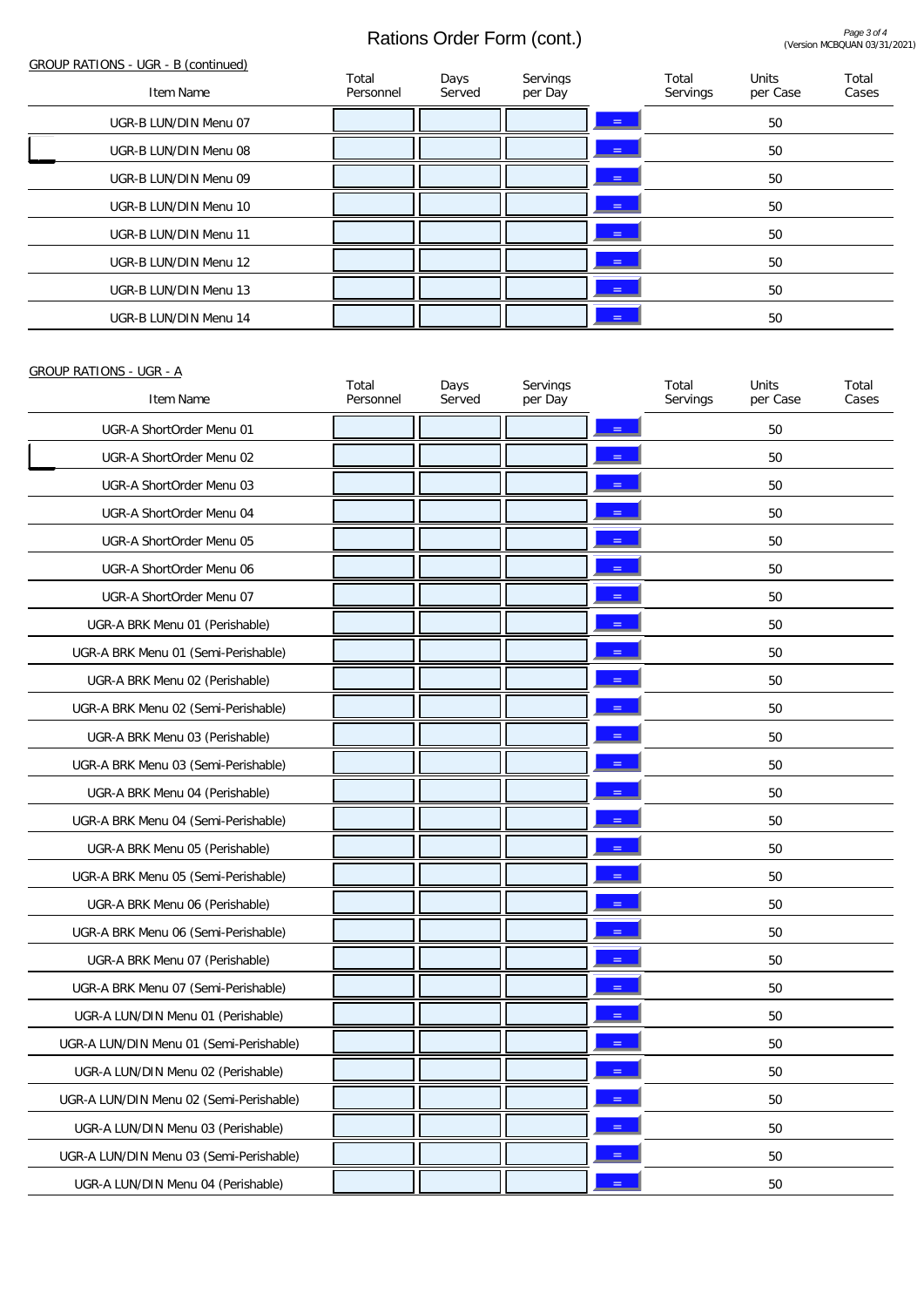## Rations Order Form (cont.)

| GROUP RATIONS - UGR - B (continued) |                    |                |                     |          |                   |                          |                |
|-------------------------------------|--------------------|----------------|---------------------|----------|-------------------|--------------------------|----------------|
| Item Name                           | Total<br>Personnel | Days<br>Served | Servings<br>per Day |          | Total<br>Servings | <b>Units</b><br>per Case | Total<br>Cases |
| UGR-B LUN/DIN Menu 07               |                    |                |                     | $=$      |                   | 50                       |                |
| UGR-B LUN/DIN Menu 08               |                    |                |                     | $\equiv$ |                   | 50                       |                |
| UGR-B LUN/DIN Menu 09               |                    |                |                     | $=$      |                   | 50                       |                |
| UGR-B LUN/DIN Menu 10               |                    |                |                     | $=$      |                   | 50                       |                |
| UGR-B LUN/DIN Menu 11               |                    |                |                     | $=$      |                   | 50                       |                |
| UGR-B LUN/DIN Menu 12               |                    |                |                     | $=$      |                   | 50                       |                |
| UGR-B LUN/DIN Menu 13               |                    |                |                     | $=$      |                   | 50                       |                |
| UGR-B LUN/DIN Menu 14               |                    |                |                     | $=$      |                   | 50                       |                |
|                                     |                    |                |                     |          |                   |                          |                |

#### GROUP RATIONS - UGR - A

| Item Name                               | Total<br>Personnel | Days<br>Served | Servings<br>per Day | Total<br>Servings | Units<br>per Case | Total<br>Cases |
|-----------------------------------------|--------------------|----------------|---------------------|-------------------|-------------------|----------------|
| UGR-A ShortOrder Menu 01                |                    |                |                     |                   | 50                |                |
| UGR-A ShortOrder Menu 02                |                    |                |                     |                   | 50                |                |
| UGR-A ShortOrder Menu 03                |                    |                |                     |                   | 50                |                |
| UGR-A ShortOrder Menu 04                |                    |                |                     |                   | 50                |                |
| UGR-A ShortOrder Menu 05                |                    |                |                     |                   | 50                |                |
| UGR-A ShortOrder Menu 06                |                    |                |                     |                   | 50                |                |
| UGR-A ShortOrder Menu 07                |                    |                |                     |                   | 50                |                |
| UGR-A BRK Menu 01 (Perishable)          |                    |                |                     |                   | 50                |                |
| UGR-A BRK Menu 01 (Semi-Perishable)     |                    |                |                     |                   | 50                |                |
| UGR-A BRK Menu 02 (Perishable)          |                    |                |                     |                   | 50                |                |
| UGR-A BRK Menu 02 (Semi-Perishable)     |                    |                |                     |                   | 50                |                |
| UGR-A BRK Menu 03 (Perishable)          |                    |                |                     |                   | 50                |                |
| UGR-A BRK Menu 03 (Semi-Perishable)     |                    |                |                     |                   | 50                |                |
| UGR-A BRK Menu 04 (Perishable)          |                    |                |                     |                   | 50                |                |
| UGR-A BRK Menu 04 (Semi-Perishable)     |                    |                |                     |                   | 50                |                |
| UGR-A BRK Menu 05 (Perishable)          |                    |                |                     |                   | 50                |                |
| UGR-A BRK Menu 05 (Semi-Perishable)     |                    |                |                     |                   | 50                |                |
| UGR-A BRK Menu 06 (Perishable)          |                    |                |                     |                   | 50                |                |
| UGR-A BRK Menu 06 (Semi-Perishable)     |                    |                |                     |                   | 50                |                |
| UGR-A BRK Menu 07 (Perishable)          |                    |                |                     |                   | 50                |                |
| UGR-A BRK Menu 07 (Semi-Perishable)     |                    |                |                     |                   | 50                |                |
| UGR-A LUN/DIN Menu 01 (Perishable)      |                    |                |                     |                   | 50                |                |
| UGR-A LUN/DIN Menu 01 (Semi-Perishable) |                    |                |                     |                   | 50                |                |
| UGR-A LUN/DIN Menu 02 (Perishable)      |                    |                |                     |                   | 50                |                |
| UGR-A LUN/DIN Menu 02 (Semi-Perishable) |                    |                |                     |                   | 50                |                |
| UGR-A LUN/DIN Menu 03 (Perishable)      |                    |                |                     |                   | 50                |                |
| UGR-A LUN/DIN Menu 03 (Semi-Perishable) |                    |                |                     |                   | 50                |                |
| UGR-A LUN/DIN Menu 04 (Perishable)      |                    |                |                     |                   | $50\,$            |                |